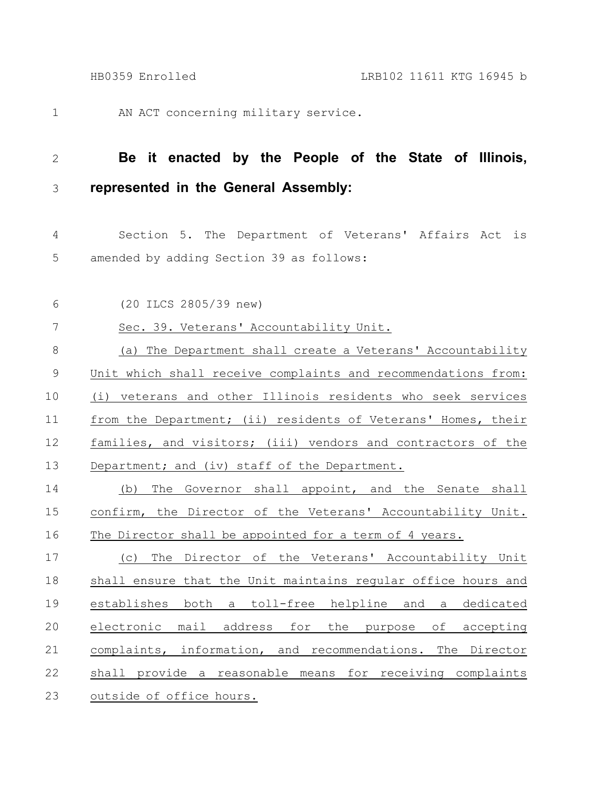AN ACT concerning military service. 1

## **Be it enacted by the People of the State of Illinois, represented in the General Assembly:** 2 3

Section 5. The Department of Veterans' Affairs Act is amended by adding Section 39 as follows: 4 5

(20 ILCS 2805/39 new) 6

|  | Sec. 39. Veterans' Accountability Unit. |
|--|-----------------------------------------|
|--|-----------------------------------------|

(a) The Department shall create a Veterans' Accountability Unit which shall receive complaints and recommendations from: (i) veterans and other Illinois residents who seek services from the Department; (ii) residents of Veterans' Homes, their families, and visitors; (iii) vendors and contractors of the Department; and (iv) staff of the Department. 8 9 10 11 12 13

(b) The Governor shall appoint, and the Senate shall confirm, the Director of the Veterans' Accountability Unit. The Director shall be appointed for a term of 4 years. 14 15 16

(c) The Director of the Veterans' Accountability Unit shall ensure that the Unit maintains regular office hours and establishes both a toll-free helpline and a dedicated electronic mail address for the purpose of accepting complaints, information, and recommendations. The Director shall provide a reasonable means for receiving complaints outside of office hours. 17 18 19 20 21 22 23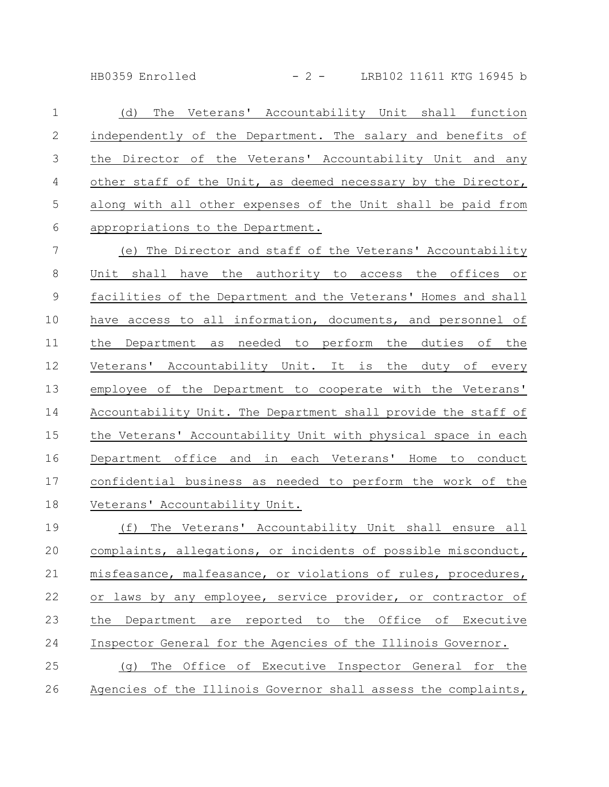HB0359 Enrolled - 2 - LRB102 11611 KTG 16945 b

(d) The Veterans' Accountability Unit shall function independently of the Department. The salary and benefits of the Director of the Veterans' Accountability Unit and any other staff of the Unit, as deemed necessary by the Director, along with all other expenses of the Unit shall be paid from appropriations to the Department. 1 2 3 4 5 6

(e) The Director and staff of the Veterans' Accountability Unit shall have the authority to access the offices or facilities of the Department and the Veterans' Homes and shall have access to all information, documents, and personnel of the Department as needed to perform the duties of the Veterans' Accountability Unit. It is the duty of every employee of the Department to cooperate with the Veterans' Accountability Unit. The Department shall provide the staff of the Veterans' Accountability Unit with physical space in each Department office and in each Veterans' Home to conduct confidential business as needed to perform the work of the Veterans' Accountability Unit. 7 8 9 10 11 12 13 14 15 16 17 18

(f) The Veterans' Accountability Unit shall ensure all complaints, allegations, or incidents of possible misconduct, misfeasance, malfeasance, or violations of rules, procedures, or laws by any employee, service provider, or contractor of the Department are reported to the Office of Executive Inspector General for the Agencies of the Illinois Governor. (g) The Office of Executive Inspector General for the Agencies of the Illinois Governor shall assess the complaints, 19 20 21 22 23 24 25 26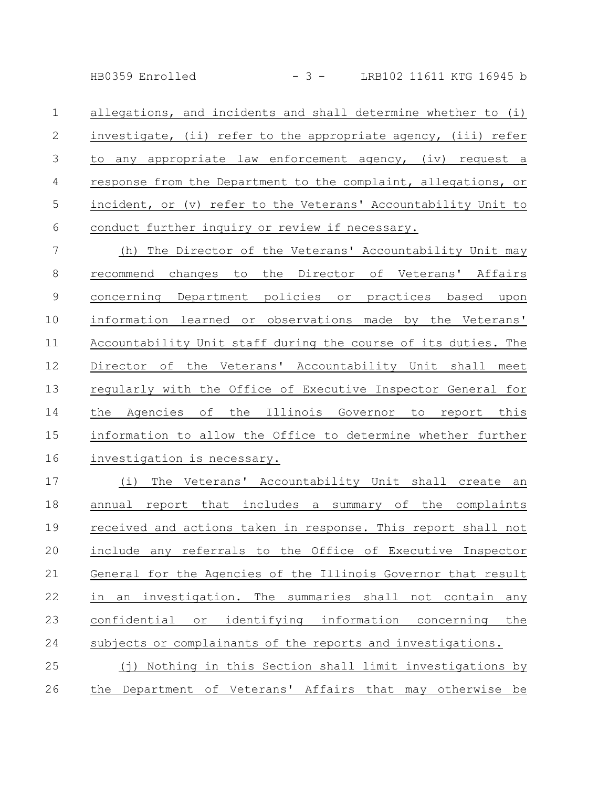HB0359 Enrolled - 3 - LRB102 11611 KTG 16945 b

allegations, and incidents and shall determine whether to (i) investigate, (ii) refer to the appropriate agency, (iii) refer to any appropriate law enforcement agency, (iv) request a response from the Department to the complaint, allegations, or incident, or (v) refer to the Veterans' Accountability Unit to conduct further inquiry or review if necessary. 1 2 3 4 5 6

(h) The Director of the Veterans' Accountability Unit may recommend changes to the Director of Veterans' Affairs concerning Department policies or practices based upon information learned or observations made by the Veterans' Accountability Unit staff during the course of its duties. The Director of the Veterans' Accountability Unit shall meet regularly with the Office of Executive Inspector General for the Agencies of the Illinois Governor to report this information to allow the Office to determine whether further investigation is necessary. 7 8 9 10 11 12 13 14 15 16

(i) The Veterans' Accountability Unit shall create an annual report that includes a summary of the complaints received and actions taken in response. This report shall not include any referrals to the Office of Executive Inspector General for the Agencies of the Illinois Governor that result in an investigation. The summaries shall not contain any confidential or identifying information concerning the subjects or complainants of the reports and investigations. (j) Nothing in this Section shall limit investigations by the Department of Veterans' Affairs that may otherwise be 17 18 19 20 21 22 23 24 25 26